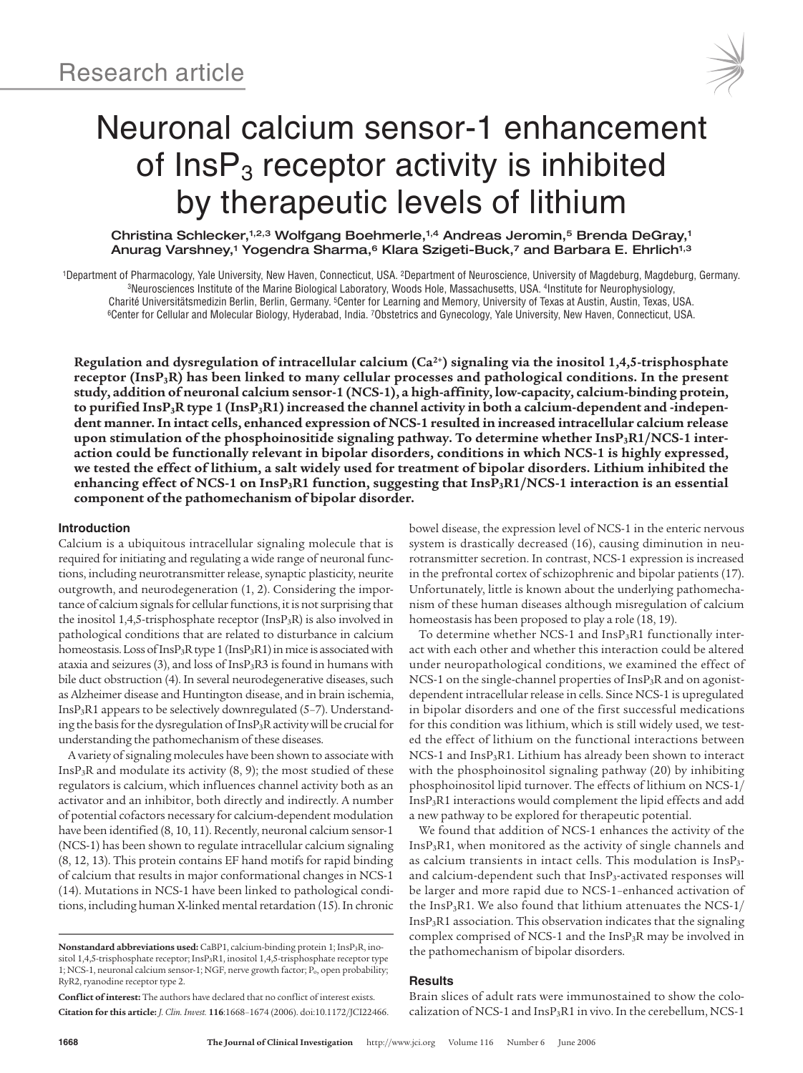

# Neuronal calcium sensor-1 enhancement of  $InsP<sub>3</sub>$  receptor activity is inhibited by therapeutic levels of lithium

Christina Schlecker,1,2,3 Wolfgang Boehmerle,1,4 Andreas Jeromin,5 Brenda DeGray,1 Anurag Varshney,<sup>1</sup> Yogendra Sharma,<sup>6</sup> Klara Szigeti-Buck,<sup>7</sup> and Barbara E. Ehrlich<sup>1,3</sup>

<sup>1</sup>Department of Pharmacology, Yale University, New Haven, Connecticut, USA. <sup>2</sup>Department of Neuroscience, University of Magdeburg, Magdeburg, Germany.<br><sup>3</sup>Neurosciences Institute of the Marine Biological Laboratory, Woods <sup>6</sup>Center for Cellular and Molecular Biology, Hyderabad, India. 7Obstetrics and Gynecology, Yale University, New Haven, Connecticut, USA.

**Regulation and dysregulation of intracellular calcium (Ca2+) signaling via the inositol 1,4,5-trisphosphate receptor (InsP3R) has been linked to many cellular processes and pathological conditions. In the present study, addition of neuronal calcium sensor-1 (NCS-1), a high-affinity, low-capacity, calcium-binding protein, to purified InsP3R type 1 (InsP3R1) increased the channel activity in both a calcium-dependent and -independent manner.In intact cells, enhanced expression of NCS-1 resulted in increased intracellular calcium release upon stimulation of the phosphoinositide signaling pathway. To determine whether InsP3R1/NCS-1 interaction could be functionally relevant in bipolar disorders, conditions in which NCS-1 is highly expressed,** we tested the effect of lithium, a salt widely used for treatment of bipolar disorders. Lithium inhibited the **enhancing effect of NCS-1 on InsP3R1 function, suggesting that InsP3R1/NCS-1 interaction is an essential component of the pathomechanism of bipolar disorder.**

# **Introduction**

Calcium is a ubiquitous intracellular signaling molecule that is required for initiating and regulating a wide range of neuronal functions, including neurotransmitter release, synaptic plasticity, neurite outgrowth, and neurodegeneration (1, 2). Considering the importance of calcium signals for cellular functions, it is not surprising that the inositol 1,4,5-trisphosphate receptor (InsP<sub>3</sub>R) is also involved in pathological conditions that are related to disturbance in calcium homeostasis. Loss of InsP<sub>3</sub>R type 1 (InsP<sub>3</sub>R1) in mice is associated with ataxia and seizures (3), and loss of Ins $P_3R3$  is found in humans with bile duct obstruction (4). In several neurodegenerative diseases, such as Alzheimer disease and Huntington disease, and in brain ischemia, InsP3R1 appears to be selectively downregulated (5–7). Understanding the basis for the dysregulation of InsP3R activity will be crucial for understanding the pathomechanism of these diseases.

A variety of signaling molecules have been shown to associate with Ins $P_3R$  and modulate its activity  $(8, 9)$ ; the most studied of these regulators is calcium, which influences channel activity both as an activator and an inhibitor, both directly and indirectly. A number of potential cofactors necessary for calcium-dependent modulation have been identified (8, 10, 11). Recently, neuronal calcium sensor-1 (NCS-1) has been shown to regulate intracellular calcium signaling (8, 12, 13). This protein contains EF hand motifs for rapid binding of calcium that results in major conformational changes in NCS-1 (14). Mutations in NCS-1 have been linked to pathological conditions, including human X-linked mental retardation (15). In chronic

**Nonstandard abbreviations used:** CaBP1, calcium-binding protein 1; InsP3R, inositol 1,4,5-trisphosphate receptor; InsP3R1, inositol 1,4,5-trisphosphate receptor type 1; NCS-1, neuronal calcium sensor-1; NGF, nerve growth factor; Po, open probability; RyR2, ryanodine receptor type 2.

**Conflict of interest:** The authors have declared that no conflict of interest exists. **Citation for this article:** *J. Clin. Invest.* **116**:1668–1674 (2006). doi:10.1172/JCI22466.

bowel disease, the expression level of NCS-1 in the enteric nervous system is drastically decreased (16), causing diminution in neurotransmitter secretion. In contrast, NCS-1 expression is increased in the prefrontal cortex of schizophrenic and bipolar patients (17). Unfortunately, little is known about the underlying pathomechanism of these human diseases although misregulation of calcium homeostasis has been proposed to play a role (18, 19).

To determine whether NCS-1 and InsP3R1 functionally interact with each other and whether this interaction could be altered under neuropathological conditions, we examined the effect of NCS-1 on the single-channel properties of InsP3R and on agonistdependent intracellular release in cells. Since NCS-1 is upregulated in bipolar disorders and one of the first successful medications for this condition was lithium, which is still widely used, we tested the effect of lithium on the functional interactions between NCS-1 and InsP3R1. Lithium has already been shown to interact with the phosphoinositol signaling pathway (20) by inhibiting phosphoinositol lipid turnover. The effects of lithium on NCS-1/ InsP3R1 interactions would complement the lipid effects and add a new pathway to be explored for therapeutic potential.

We found that addition of NCS-1 enhances the activity of the InsP3R1, when monitored as the activity of single channels and as calcium transients in intact cells. This modulation is InsP3 and calcium-dependent such that InsP<sub>3</sub>-activated responses will be larger and more rapid due to NCS-1–enhanced activation of the Ins $P_3R1$ . We also found that lithium attenuates the NCS- $1/$ InsP3R1 association. This observation indicates that the signaling complex comprised of NCS-1 and the  $InsP<sub>3</sub>R$  may be involved in the pathomechanism of bipolar disorders.

# **Results**

Brain slices of adult rats were immunostained to show the colocalization of NCS-1 and InsP3R1 in vivo. In the cerebellum, NCS-1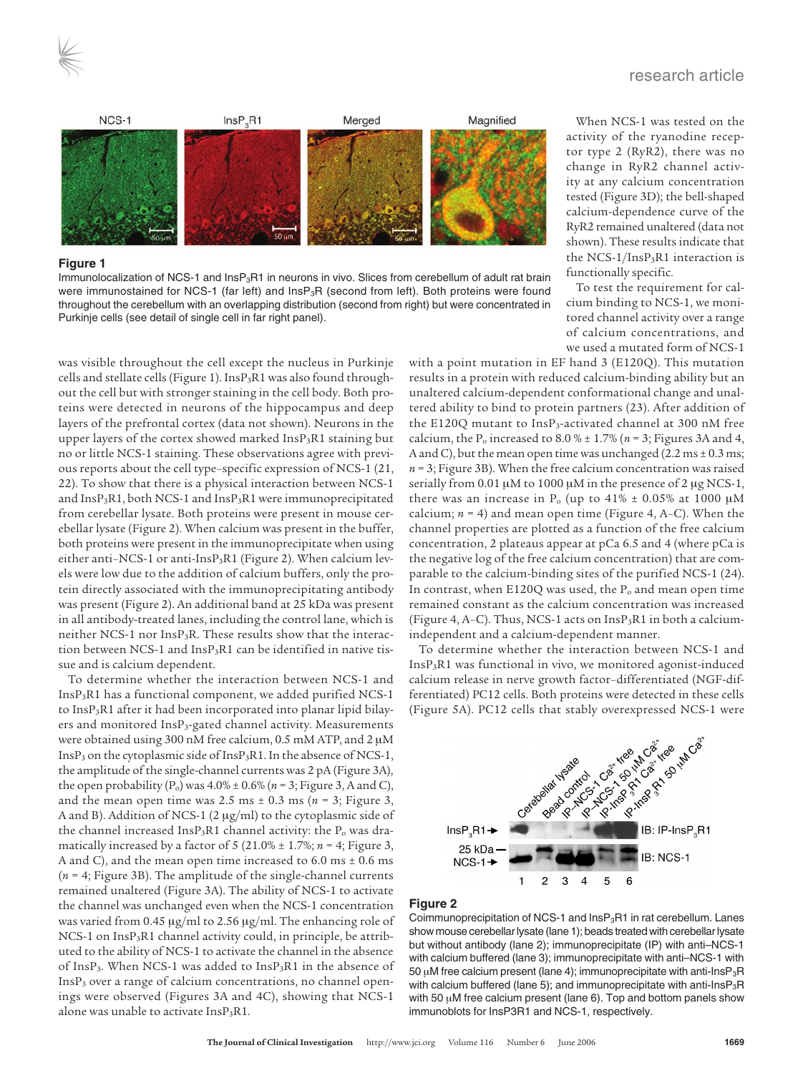

## **Figure 1**

Immunolocalization of NCS-1 and InsP<sub>3</sub>R1 in neurons in vivo. Slices from cerebellum of adult rat brain were immunostained for NCS-1 (far left) and InsP<sub>3</sub>R (second from left). Both proteins were found throughout the cerebellum with an overlapping distribution (second from right) but were concentrated in Purkinje cells (see detail of single cell in far right panel).

was visible throughout the cell except the nucleus in Purkinje cells and stellate cells (Figure 1). InsP<sub>3</sub>R1 was also found throughout the cell but with stronger staining in the cell body. Both proteins were detected in neurons of the hippocampus and deep layers of the prefrontal cortex (data not shown). Neurons in the upper layers of the cortex showed marked InsP<sub>3</sub>R1 staining but no or little NCS-1 staining. These observations agree with previous reports about the cell type–specific expression of NCS-1 (21, 22). To show that there is a physical interaction between NCS-1 and InsP<sub>3</sub>R1, both NCS-1 and InsP<sub>3</sub>R1 were immunoprecipitated from cerebellar lysate. Both proteins were present in mouse cerebellar lysate (Figure 2). When calcium was present in the buffer, both proteins were present in the immunoprecipitate when using either anti–NCS-1 or anti-InsP3R1 (Figure 2). When calcium levels were low due to the addition of calcium buffers, only the protein directly associated with the immunoprecipitating antibody was present (Figure 2). An additional band at 25 kDa was present in all antibody-treated lanes, including the control lane, which is neither NCS-1 nor InsP3R. These results show that the interaction between NCS-1 and  $InsP<sub>3</sub>R1$  can be identified in native tissue and is calcium dependent.

To determine whether the interaction between NCS-1 and InsP3R1 has a functional component, we added purified NCS-1 to InsP3R1 after it had been incorporated into planar lipid bilayers and monitored InsP3-gated channel activity. Measurements were obtained using 300 nM free calcium, 0.5 mM ATP, and 2 μM  $InsP<sub>3</sub>$  on the cytoplasmic side of  $InsP<sub>3</sub>R1$ . In the absence of NCS-1, the amplitude of the single-channel currents was 2 pA (Figure 3A), the open probability  $(P_0)$  was  $4.0\% \pm 0.6\%$  ( $n = 3$ ; Figure 3, A and C), and the mean open time was 2.5 ms  $\pm$  0.3 ms ( $n = 3$ ; Figure 3, A and B). Addition of NCS-1 (2 μg/ml) to the cytoplasmic side of the channel increased Ins $P_3R1$  channel activity: the  $P_0$  was dramatically increased by a factor of 5 (21.0% ± 1.7%; *n* = 4; Figure 3, A and C), and the mean open time increased to  $6.0 \text{ ms} \pm 0.6 \text{ ms}$ (*n* = 4; Figure 3B). The amplitude of the single-channel currents remained unaltered (Figure 3A). The ability of NCS-1 to activate the channel was unchanged even when the NCS-1 concentration was varied from 0.45 μg/ml to 2.56 μg/ml. The enhancing role of NCS-1 on InsP<sub>3</sub>R1 channel activity could, in principle, be attributed to the ability of NCS-1 to activate the channel in the absence of InsP3. When NCS-1 was added to InsP3R1 in the absence of InsP3 over a range of calcium concentrations, no channel openings were observed (Figures 3A and 4C), showing that NCS-1 alone was unable to activate  $InsP_3R1$ .

When NCS-1 was tested on the activity of the ryanodine receptor type 2 (RyR2), there was no change in RyR2 channel activity at any calcium concentration tested (Figure 3D); the bell-shaped calcium-dependence curve of the RyR2 remained unaltered (data not shown). These results indicate that the NCS-1/InsP3R1 interaction is functionally specific.

To test the requirement for calcium binding to NCS-1, we monitored channel activity over a range of calcium concentrations, and we used a mutated form of NCS-1

with a point mutation in EF hand 3 (E120Q). This mutation results in a protein with reduced calcium-binding ability but an unaltered calcium-dependent conformational change and unaltered ability to bind to protein partners (23). After addition of the E120Q mutant to InsP3-activated channel at 300 nM free calcium, the P<sub>o</sub> increased to 8.0 %  $\pm$  1.7% ( $n = 3$ ; Figures 3A and 4, A and C), but the mean open time was unchanged (2.2 ms  $\pm$  0.3 ms; *n* = 3; Figure 3B). When the free calcium concentration was raised serially from 0.01 μM to 1000 μM in the presence of 2 μg NCS-1, there was an increase in  $P_0$  (up to 41%  $\pm$  0.05% at 1000  $\mu$ M calcium;  $n = 4$ ) and mean open time (Figure 4, A–C). When the channel properties are plotted as a function of the free calcium concentration, 2 plateaus appear at pCa 6.5 and 4 (where pCa is the negative log of the free calcium concentration) that are comparable to the calcium-binding sites of the purified NCS-1 (24). In contrast, when E120Q was used, the  $P<sub>o</sub>$  and mean open time remained constant as the calcium concentration was increased (Figure 4, A-C). Thus, NCS-1 acts on InsP<sub>3</sub>R1 in both a calciumindependent and a calcium-dependent manner.

To determine whether the interaction between NCS-1 and InsP3R1 was functional in vivo, we monitored agonist-induced ferentiated) PC12 cells. Both proteins were detected in these cells (Figure 5A). PC12 cells that stably overexpressed NCS-1 were



## **Figure 2**

Coimmunoprecipitation of NCS-1 and  $InsP<sub>3</sub>R1$  in rat cerebellum. Lanes show mouse cerebellar lysate (lane 1); beads treated with cerebellar lysate but without antibody (lane 2); immunoprecipitate (IP) with anti–NCS-1 with calcium buffered (lane 3); immunoprecipitate with anti–NCS-1 with 50  $\mu$ M free calcium present (lane 4); immunoprecipitate with anti-Ins $P_3R$ with calcium buffered (lane 5); and immunoprecipitate with anti-Ins $P_3R$ with 50 μM free calcium present (lane 6). Top and bottom panels show immunoblots for InsP3R1 and NCS-1, respectively.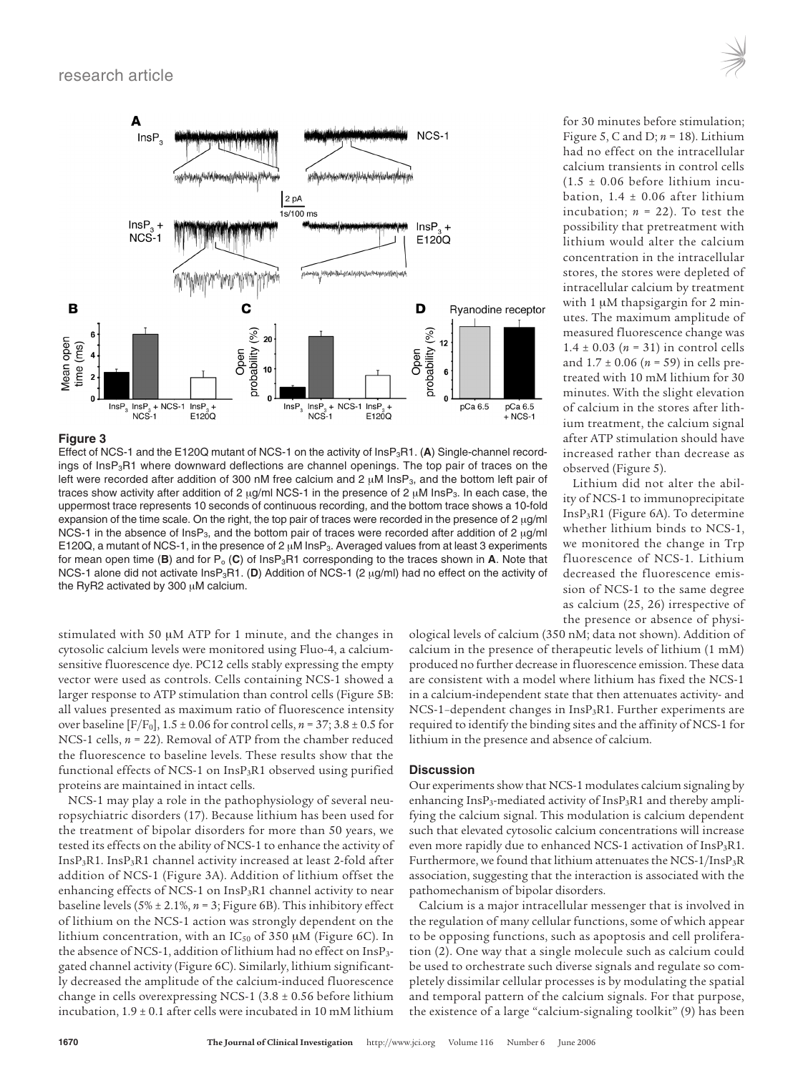

## **Figure 3**

Effect of NCS-1 and the E120Q mutant of NCS-1 on the activity of InsP<sub>3</sub>R1. (A) Single-channel recordings of InsP<sub>3</sub>R1 where downward deflections are channel openings. The top pair of traces on the left were recorded after addition of 300 nM free calcium and 2  $\mu$ M InsP<sub>3</sub>, and the bottom left pair of traces show activity after addition of 2  $\mu$ g/ml NCS-1 in the presence of 2  $\mu$ M InsP<sub>3</sub>. In each case, the uppermost trace represents 10 seconds of continuous recording, and the bottom trace shows a 10-fold expansion of the time scale. On the right, the top pair of traces were recorded in the presence of 2 μg/ml NCS-1 in the absence of InsP3, and the bottom pair of traces were recorded after addition of 2 μg/ml E120Q, a mutant of NCS-1, in the presence of 2 μM InsP3. Averaged values from at least 3 experiments for mean open time (**B**) and for  $P_0$  (**C**) of Ins $P_3R1$  corresponding to the traces shown in **A**. Note that NCS-1 alone did not activate InsP3R1. (**D**) Addition of NCS-1 (2 μg/ml) had no effect on the activity of the RyR2 activated by 300 μM calcium.

stimulated with 50 μM ATP for 1 minute, and the changes in cytosolic calcium levels were monitored using Fluo-4, a calciumsensitive fluorescence dye. PC12 cells stably expressing the empty vector were used as controls. Cells containing NCS-1 showed a larger response to ATP stimulation than control cells (Figure 5B: all values presented as maximum ratio of fluorescence intensity over baseline  $[F/F_0]$ ,  $1.5 \pm 0.06$  for control cells,  $n = 37$ ;  $3.8 \pm 0.5$  for NCS-1 cells, *n* = 22). Removal of ATP from the chamber reduced the fluorescence to baseline levels. These results show that the functional effects of NCS-1 on InsP3R1 observed using purified proteins are maintained in intact cells.

NCS-1 may play a role in the pathophysiology of several neuropsychiatric disorders (17). Because lithium has been used for the treatment of bipolar disorders for more than 50 years, we tested its effects on the ability of NCS-1 to enhance the activity of InsP3R1. InsP3R1 channel activity increased at least 2-fold after addition of NCS-1 (Figure 3A). Addition of lithium offset the enhancing effects of NCS-1 on InsP<sub>3</sub>R1 channel activity to near baseline levels (5% ± 2.1%, *n* = 3; Figure 6B). This inhibitory effect of lithium on the NCS-1 action was strongly dependent on the lithium concentration, with an  $IC_{50}$  of 350  $\mu$ M (Figure 6C). In the absence of NCS-1, addition of lithium had no effect on InsP3 gated channel activity (Figure 6C). Similarly, lithium significantly decreased the amplitude of the calcium-induced fluorescence change in cells overexpressing NCS-1 (3.8 ± 0.56 before lithium incubation,  $1.9 \pm 0.1$  after cells were incubated in 10 mM lithium

ological levels of calcium (350 nM; data not shown). Addition of calcium in the presence of therapeutic levels of lithium (1 mM) produced no further decrease in fluorescence emission. These data are consistent with a model where lithium has fixed the NCS-1 in a calcium-independent state that then attenuates activity- and NCS-1–dependent changes in InsP3R1. Further experiments are required to identify the binding sites and the affinity of NCS-1 for lithium in the presence and absence of calcium.

## **Discussion**

Our experiments show that NCS-1 modulates calcium signaling by enhancing InsP<sub>3</sub>-mediated activity of InsP<sub>3</sub>R1 and thereby amplifying the calcium signal. This modulation is calcium dependent such that elevated cytosolic calcium concentrations will increase even more rapidly due to enhanced NCS-1 activation of InsP<sub>3</sub>R1. Furthermore, we found that lithium attenuates the NCS-1/InsP3R association, suggesting that the interaction is associated with the pathomechanism of bipolar disorders.

Calcium is a major intracellular messenger that is involved in the regulation of many cellular functions, some of which appear to be opposing functions, such as apoptosis and cell proliferation (2). One way that a single molecule such as calcium could be used to orchestrate such diverse signals and regulate so completely dissimilar cellular processes is by modulating the spatial and temporal pattern of the calcium signals. For that purpose, the existence of a large "calcium-signaling toolkit" (9) has been

for 30 minutes before stimulation; Figure 5, C and D; *n* = 18). Lithium had no effect on the intracellular calcium transients in control cells  $(1.5 \pm 0.06$  before lithium incubation,  $1.4 \pm 0.06$  after lithium incubation;  $n = 22$ ). To test the possibility that pretreatment with lithium would alter the calcium concentration in the intracellular stores, the stores were depleted of intracellular calcium by treatment with 1 μM thapsigargin for 2 minutes. The maximum amplitude of measured fluorescence change was 1.4  $\pm$  0.03 (*n* = 31) in control cells and 1.7 ± 0.06 (*n* = 59) in cells pretreated with 10 mM lithium for 30 minutes. With the slight elevation of calcium in the stores after lithium treatment, the calcium signal after ATP stimulation should have increased rather than decrease as

Lithium did not alter the ability of NCS-1 to immunoprecipitate InsP3R1 (Figure 6A). To determine whether lithium binds to NCS-1, we monitored the change in Trp fluorescence of NCS-1. Lithium decreased the fluorescence emission of NCS-1 to the same degree as calcium (25, 26) irrespective of the presence or absence of physi-

observed (Figure 5).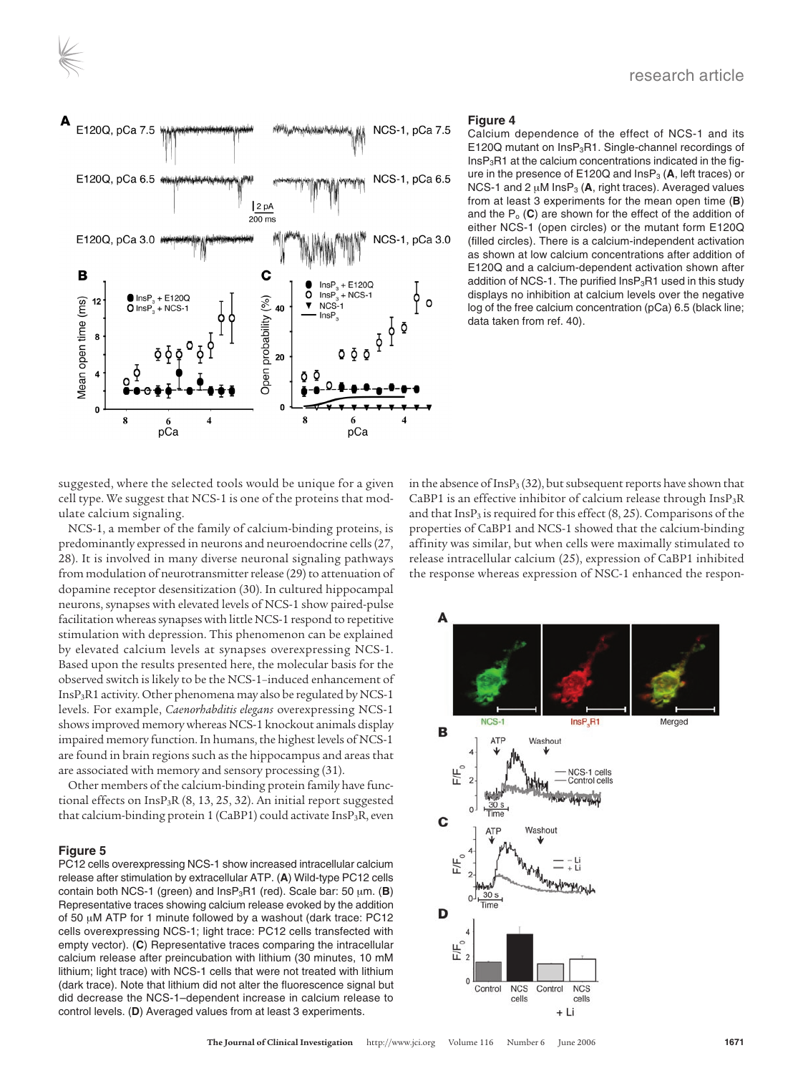

የ

 $\frac{1}{\sqrt{2}}$ 

 $\circ$ 

 $+ F1200$ 

 $\delta$   $\delta$   $\delta$ 

 $InSP^3 + NCS-1$ 

 $InsF$ ŏ

…∽∽<br>InsP

 $\bar{\mathbf{v}}$  $NCS-1$ 



C

40

 ${\bf 20}$ 

Calcium dependence of the effect of NCS-1 and its E120Q mutant on InsP<sub>3</sub>R1. Single-channel recordings of  $InsP<sub>3</sub>R1$  at the calcium concentrations indicated in the figure in the presence of  $E120Q$  and  $InSP<sub>3</sub>$  (A, left traces) or NCS-1 and 2  $\mu$ M Ins $P_3$  (A, right traces). Averaged values from at least 3 experiments for the mean open time (**B**) and the  $P_0$  (C) are shown for the effect of the addition of either NCS-1 (open circles) or the mutant form E120Q (filled circles). There is a calcium-independent activation as shown at low calcium concentrations after addition of E120Q and a calcium-dependent activation shown after addition of NCS-1. The purified  $InsP<sub>3</sub>R1$  used in this study displays no inhibition at calcium levels over the negative log of the free calcium concentration (pCa) 6.5 (black line; data taken from ref. 40).

suggested, where the selected tools would be unique for a given cell type. We suggest that NCS-1 is one of the proteins that modulate calcium signaling.

NCS-1, a member of the family of calcium-binding proteins, is predominantly expressed in neurons and neuroendocrine cells (27, 28). It is involved in many diverse neuronal signaling pathways from modulation of neurotransmitter release (29) to attenuation of dopamine receptor desensitization (30). In cultured hippocampal neurons, synapses with elevated levels of NCS-1 show paired-pulse facilitation whereas synapses with little NCS-1 respond to repetitive stimulation with depression. This phenomenon can be explained by elevated calcium levels at synapses overexpressing NCS-1. Based upon the results presented here, the molecular basis for the observed switch is likely to be the NCS-1–induced enhancement of InsP3R1 activity. Other phenomena may also be regulated by NCS-1 levels. For example, *Caenorhabditis elegans* overexpressing NCS-1 shows improved memory whereas NCS-1 knockout animals display impaired memory function. In humans, the highest levels of NCS-1 are found in brain regions such as the hippocampus and areas that are associated with memory and sensory processing (31).

Other members of the calcium-binding protein family have functional effects on  $InsP_3R$  (8, 13, 25, 32). An initial report suggested that calcium-binding protein 1 (CaBP1) could activate InsP3R, even

## **Figure 5**

E120Q, pCa 7.5

E120Q, pCa 6.5  $*$ 

E120Q, pCa 3.0

■ InsP<sub>3</sub> + E120Q<br>**O** InsP<sub>3</sub> + NCS-1

B

12

PC12 cells overexpressing NCS-1 show increased intracellular calcium release after stimulation by extracellular ATP. (**A**) Wild-type PC12 cells contain both NCS-1 (green) and InsP3R1 (red). Scale bar: 50 μm. (**B**) Representative traces showing calcium release evoked by the addition of 50 μM ATP for 1 minute followed by a washout (dark trace: PC12 cells overexpressing NCS-1; light trace: PC12 cells transfected with empty vector). (**C**) Representative traces comparing the intracellular calcium release after preincubation with lithium (30 minutes, 10 mM lithium; light trace) with NCS-1 cells that were not treated with lithium (dark trace). Note that lithium did not alter the fluorescence signal but did decrease the NCS-1–dependent increase in calcium release to control levels. (**D**) Averaged values from at least 3 experiments.

in the absence of Ins $P_3$  (32), but subsequent reports have shown that CaBP1 is an effective inhibitor of calcium release through  $InsP_3R$ and that  $InsP<sub>3</sub>$  is required for this effect (8, 25). Comparisons of the properties of CaBP1 and NCS-1 showed that the calcium-binding affinity was similar, but when cells were maximally stimulated to release intracellular calcium (25), expression of CaBP1 inhibited the response whereas expression of NSC-1 enhanced the respon-

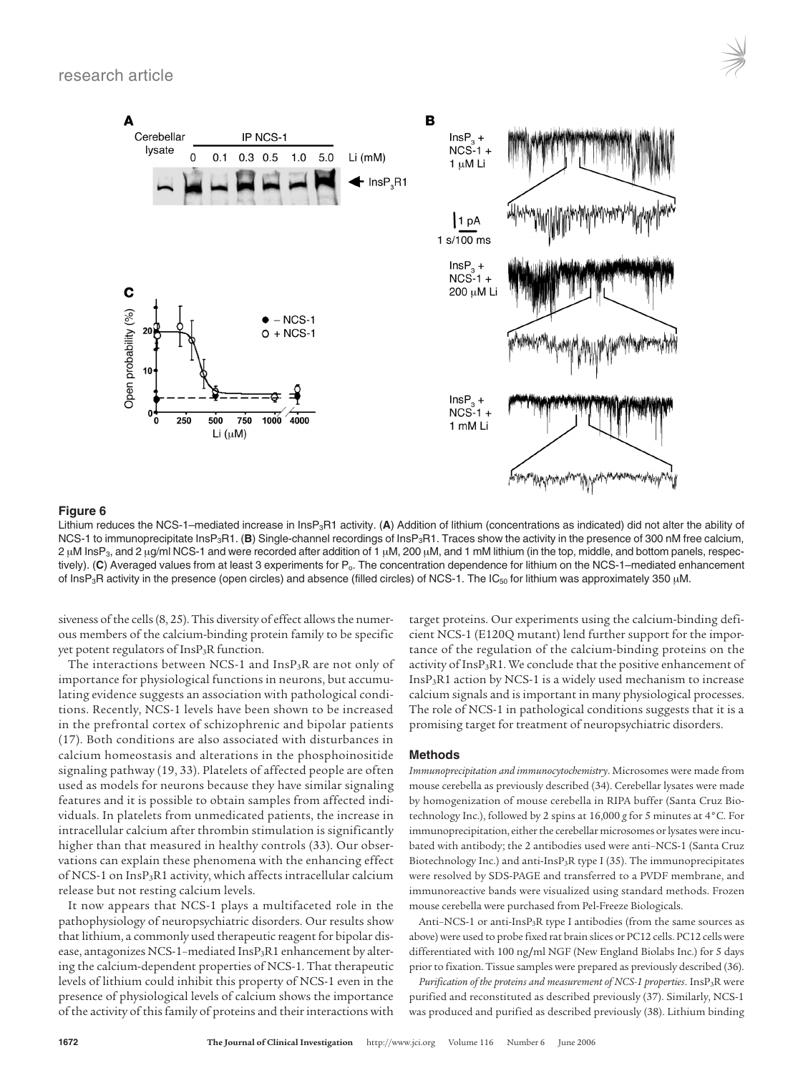

# **Figure 6**

Lithium reduces the NCS-1–mediated increase in InsP<sub>3</sub>R1 activity. (A) Addition of lithium (concentrations as indicated) did not alter the ability of NCS-1 to immunoprecipitate InsP<sub>3</sub>R1. (**B**) Single-channel recordings of InsP<sub>3</sub>R1. Traces show the activity in the presence of 300 nM free calcium, 2 μM InsP3, and 2 μg/ml NCS-1 and were recorded after addition of 1 μM, 200 μM, and 1 mM lithium (in the top, middle, and bottom panels, respectively). (C) Averaged values from at least 3 experiments for P<sub>o</sub>. The concentration dependence for lithium on the NCS-1–mediated enhancement of InsP<sub>3</sub>R activity in the presence (open circles) and absence (filled circles) of NCS-1. The IC<sub>50</sub> for lithium was approximately 350 μM.

siveness of the cells (8, 25). This diversity of effect allows the numerous members of the calcium-binding protein family to be specific yet potent regulators of InsP<sub>3</sub>R function.

The interactions between NCS-1 and  $InsP_3R$  are not only of importance for physiological functions in neurons, but accumulating evidence suggests an association with pathological conditions. Recently, NCS-1 levels have been shown to be increased in the prefrontal cortex of schizophrenic and bipolar patients (17). Both conditions are also associated with disturbances in calcium homeostasis and alterations in the phosphoinositide signaling pathway (19, 33). Platelets of affected people are often used as models for neurons because they have similar signaling features and it is possible to obtain samples from affected individuals. In platelets from unmedicated patients, the increase in intracellular calcium after thrombin stimulation is significantly higher than that measured in healthy controls (33). Our observations can explain these phenomena with the enhancing effect of NCS-1 on InsP<sub>3</sub>R1 activity, which affects intracellular calcium release but not resting calcium levels.

It now appears that NCS-1 plays a multifaceted role in the pathophysiology of neuropsychiatric disorders. Our results show that lithium, a commonly used therapeutic reagent for bipolar disease, antagonizes NCS-1-mediated InsP<sub>3</sub>R1 enhancement by altering the calcium-dependent properties of NCS-1. That therapeutic levels of lithium could inhibit this property of NCS-1 even in the presence of physiological levels of calcium shows the importance of the activity of this family of proteins and their interactions with

target proteins. Our experiments using the calcium-binding deficient NCS-1 (E120Q mutant) lend further support for the importance of the regulation of the calcium-binding proteins on the activity of InsP<sub>3</sub>R1. We conclude that the positive enhancement of InsP3R1 action by NCS-1 is a widely used mechanism to increase calcium signals and is important in many physiological processes. The role of NCS-1 in pathological conditions suggests that it is a promising target for treatment of neuropsychiatric disorders.

## **Methods**

*Immunoprecipitation and immunocytochemistry*. Microsomes were made from mouse cerebella as previously described (34). Cerebellar lysates were made by homogenization of mouse cerebella in RIPA buffer (Santa Cruz Biotechnology Inc.), followed by 2 spins at 16,000 *g* for 5 minutes at 4°C. For immunoprecipitation, either the cerebellar microsomes or lysates were incubated with antibody; the 2 antibodies used were anti–NCS-1 (Santa Cruz Biotechnology Inc.) and anti-InsP3R type I (35). The immunoprecipitates were resolved by SDS-PAGE and transferred to a PVDF membrane, and immunoreactive bands were visualized using standard methods. Frozen mouse cerebella were purchased from Pel-Freeze Biologicals.

Anti–NCS-1 or anti-InsP3R type I antibodies (from the same sources as above) were used to probe fixed rat brain slices or PC12 cells. PC12 cells were differentiated with 100 ng**/**ml NGF (New England Biolabs Inc.) for 5 days prior to fixation. Tissue samples were prepared as previously described (36).

*Purification of the proteins and measurement of NCS-1 properties*. InsP3R were purified and reconstituted as described previously (37). Similarly, NCS-1 was produced and purified as described previously (38). Lithium binding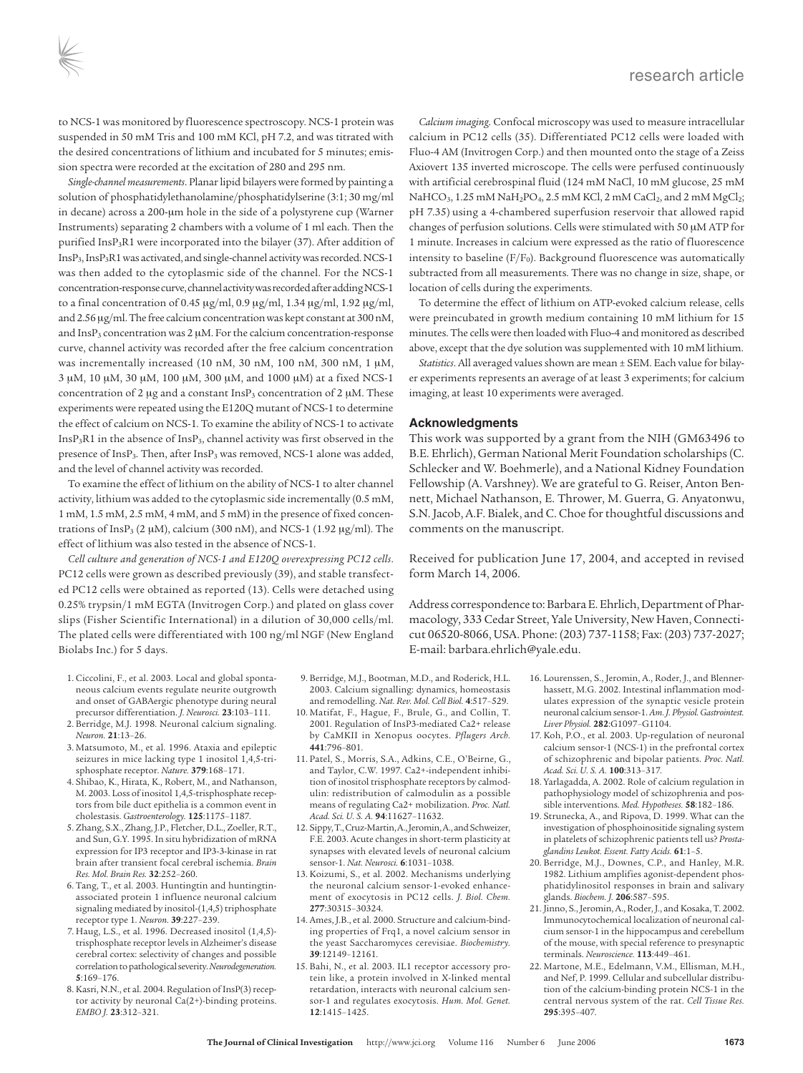to NCS-1 was monitored by fluorescence spectroscopy. NCS-1 protein was suspended in 50 mM Tris and 100 mM KCl, pH 7.2, and was titrated with the desired concentrations of lithium and incubated for 5 minutes; emission spectra were recorded at the excitation of 280 and 295 nm.

*Single-channel measurements*. Planar lipid bilayers were formed by painting a solution of phosphatidylethanolamine/phosphatidylserine (3:1; 30 mg/ml in decane) across a 200-μm hole in the side of a polystyrene cup (Warner Instruments) separating 2 chambers with a volume of 1 ml each. Then the purified InsP3R1 were incorporated into the bilayer (37). After addition of  $InsP<sub>3</sub>, InsP<sub>3</sub>R1 was activated, and single-channel activity was recorded. NCS-1$ was then added to the cytoplasmic side of the channel. For the NCS-1 concentration-response curve, channel activity was recorded after adding NCS-1 to a final concentration of 0.45 μg/ml, 0.9 μg/ml, 1.34 μg/ml, 1.92 μg/ml, and 2.56 μg/ml. The free calcium concentration was kept constant at 300 nM, and InsP3 concentration was 2 μM. For the calcium concentration-response curve, channel activity was recorded after the free calcium concentration was incrementally increased (10 nM, 30 nM, 100 nM, 300 nM, 1 μM, 3 μM, 10 μM, 30 μM, 100 μM, 300 μM, and 1000 μM) at a fixed NCS-1 concentration of 2 μg and a constant  $InsP<sub>3</sub>$  concentration of 2 μM. These experiments were repeated using the E120Q mutant of NCS-1 to determine the effect of calcium on NCS-1. To examine the ability of NCS-1 to activate  $InsP<sub>3</sub>R1$  in the absence of  $InsP<sub>3</sub>$ , channel activity was first observed in the presence of InsP<sub>3</sub>. Then, after InsP<sub>3</sub> was removed, NCS-1 alone was added, and the level of channel activity was recorded.

To examine the effect of lithium on the ability of NCS-1 to alter channel activity, lithium was added to the cytoplasmic side incrementally (0.5 mM, 1 mM, 1.5 mM, 2.5 mM, 4 mM, and 5 mM) in the presence of fixed concentrations of InsP<sub>3</sub> (2  $\mu$ M), calcium (300 nM), and NCS-1 (1.92  $\mu$ g/ml). The effect of lithium was also tested in the absence of NCS-1.

*Cell culture and generation of NCS-1 and E120Q overexpressing PC12 cells*. PC12 cells were grown as described previously (39), and stable transfected PC12 cells were obtained as reported (13). Cells were detached using 0.25% trypsin/1 mM EGTA (Invitrogen Corp.) and plated on glass cover slips (Fisher Scientific International) in a dilution of 30,000 cells/ml. The plated cells were differentiated with 100 ng/ml NGF (New England Biolabs Inc.) for 5 days.

- 1. Ciccolini, F., et al. 2003. Local and global spontaneous calcium events regulate neurite outgrowth and onset of GABAergic phenotype during neural precursor differentiation. *J. Neurosci.* **23**:103–111.
- 2. Berridge, M.J. 1998. Neuronal calcium signaling. *Neuron.* **21**:13–26.
- 3. Matsumoto, M., et al. 1996. Ataxia and epileptic seizures in mice lacking type 1 inositol 1,4,5-trisphosphate receptor. *Nature.* **379**:168–171.
- 4. Shibao, K., Hirata, K., Robert, M., and Nathanson, M. 2003. Loss of inositol 1,4,5-trisphosphate receptors from bile duct epithelia is a common event in cholestasis. *Gastroenterology.* **125**:1175–1187.
- 5. Zhang, S.X., Zhang, J.P., Fletcher, D.L., Zoeller, R.T., and Sun, G.Y. 1995. In situ hybridization of mRNA expression for IP3 receptor and IP3-3-kinase in rat brain after transient focal cerebral ischemia. *Brain Res. Mol. Brain Res.* **32**:252–260.
- 6. Tang, T., et al. 2003. Huntingtin and huntingtinassociated protein 1 influence neuronal calcium signaling mediated by inositol-(1,4,5) triphosphate receptor type 1. *Neuron.* **39**:227–239.
- 7. Haug, L.S., et al. 1996. Decreased inositol (1,4,5) trisphosphate receptor levels in Alzheimer's disease cerebral cortex: selectivity of changes and possible correlation to pathological severity. *Neurodegeneration.* **5**:169–176.
- 8. Kasri, N.N., et al. 2004. Regulation of InsP(3) receptor activity by neuronal Ca(2+)-binding proteins. *Embo J.* **23**:312–321.
- 9. Berridge, M.J., Bootman, M.D., and Roderick, H.L. 2003. Calcium signalling: dynamics, homeostasis and remodelling. *Nat. Rev. Mol. Cell Biol.* **4**:517–529.
- 10. Matifat, F., Hague, F., Brule, G., and Collin, T. 2001. Regulation of InsP3-mediated Ca2+ release by CaMKII in Xenopus oocytes. *Pflugers Arch.* **441**:796–801.
- 11. Patel, S., Morris, S.A., Adkins, C.E., O'Beirne, G., and Taylor, C.W. 1997. Ca2+-independent inhibition of inositol trisphosphate receptors by calmodulin: redistribution of calmodulin as a possible means of regulating Ca2+ mobilization. *Proc. Natl. Acad. Sci. U. S. A.* **94**:11627–11632.
- 12. Sippy, T., Cruz-Martin, A., Jeromin, A., and Schweizer, F.E. 2003. Acute changes in short-term plasticity at synapses with elevated levels of neuronal calcium sensor-1. *Nat. Neurosci.* **6**:1031–1038.
- 13. Koizumi, S., et al. 2002. Mechanisms underlying the neuronal calcium sensor-1-evoked enhancement of exocytosis in PC12 cells. *J. Biol. Chem.* **277**:30315–30324.
- 14. Ames, J.B., et al. 2000. Structure and calcium-binding properties of Frq1, a novel calcium sensor in the yeast Saccharomyces cerevisiae. *Biochemistry.* **39**:12149–12161.
- 15. Bahi, N., et al. 2003. IL1 receptor accessory protein like, a protein involved in X-linked mental retardation, interacts with neuronal calcium sensor-1 and regulates exocytosis. *Hum. Mol. Genet.* **12**:1415–1425.

*Calcium imaging*. Confocal microscopy was used to measure intracellular calcium in PC12 cells (35). Differentiated PC12 cells were loaded with Fluo-4 AM (Invitrogen Corp.) and then mounted onto the stage of a Zeiss Axiovert 135 inverted microscope. The cells were perfused continuously with artificial cerebrospinal fluid (124 mM NaCl, 10 mM glucose, 25 mM  $NaHCO<sub>3</sub>$ , 1.25 mM  $NaH<sub>2</sub>PO<sub>4</sub>$ , 2.5 mM KCl, 2 mM  $CaCl<sub>2</sub>$ , and 2 mM  $MgCl<sub>2</sub>$ ; pH 7.35) using a 4-chambered superfusion reservoir that allowed rapid changes of perfusion solutions. Cells were stimulated with 50 μM ATP for 1 minute. Increases in calcium were expressed as the ratio of fluorescence intensity to baseline  $(F/F_0)$ . Background fluorescence was automatically subtracted from all measurements. There was no change in size, shape, or location of cells during the experiments.

To determine the effect of lithium on ATP-evoked calcium release, cells were preincubated in growth medium containing 10 mM lithium for 15 minutes. The cells were then loaded with Fluo-4 and monitored as described above, except that the dye solution was supplemented with 10 mM lithium.

*Statistics*. All averaged values shown are mean ± SEM. Each value for bilayer experiments represents an average of at least 3 experiments; for calcium imaging, at least 10 experiments were averaged.

## **Acknowledgments**

This work was supported by a grant from the NIH (GM63496 to B.E. Ehrlich), German National Merit Foundation scholarships (C. Schlecker and W. Boehmerle), and a National Kidney Foundation Fellowship (A. Varshney). We are grateful to G. Reiser, Anton Bennett, Michael Nathanson, E. Thrower, M. Guerra, G. Anyatonwu, S.N. Jacob, A.F. Bialek, and C. Choe for thoughtful discussions and comments on the manuscript.

Received for publication June 17, 2004, and accepted in revised form March 14, 2006.

Address correspondence to: Barbara E. Ehrlich, Department of Pharmacology, 333 Cedar Street, Yale University, New Haven, Connecticut 06520-8066, USA. Phone: (203) 737-1158; Fax: (203) 737-2027; E-mail: barbara.ehrlich@yale.edu.

- 16. Lourenssen, S., Jeromin, A., Roder, J., and Blennerhassett, M.G. 2002. Intestinal inflammation modulates expression of the synaptic vesicle protein neuronal calcium sensor-1. *Am. J. Physiol. Gastrointest. Liver Physiol.* **282**:G1097–G1104.
- 17. Koh, P.O., et al. 2003. Up-regulation of neuronal calcium sensor-1 (NCS-1) in the prefrontal cortex of schizophrenic and bipolar patients. *Proc. Natl. Acad. Sci. U. S. A.* **100**:313–317.
- 18. Yarlagadda, A. 2002. Role of calcium regulation in pathophysiology model of schizophrenia and possible interventions. *Med. Hypotheses.* **58**:182–186.
- 19. Strunecka, A., and Ripova, D. 1999. What can the investigation of phosphoinositide signaling system in platelets of schizophrenic patients tell us? *Prostaglandins Leukot. Essent. Fatty Acids.* **61**:1–5.
- 20. Berridge, M.J., Downes, C.P., and Hanley, M.R. 1982. Lithium amplifies agonist-dependent phosphatidylinositol responses in brain and salivary glands. *Biochem. J.* **206**:587–595.
- 21. Jinno, S., Jeromin, A., Roder, J., and Kosaka, T. 2002. Immunocytochemical localization of neuronal calcium sensor-1 in the hippocampus and cerebellum of the mouse, with special reference to presynaptic terminals. *Neuroscience.* **113**:449–461.
- 22. Martone, M.E., Edelmann, V.M., Ellisman, M.H., and Nef, P. 1999. Cellular and subcellular distribution of the calcium-binding protein NCS-1 in the central nervous system of the rat. *Cell Tissue Res.* **295**:395–407.